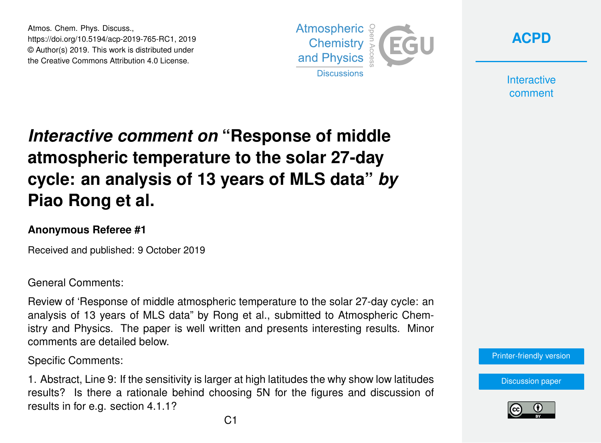Atmos. Chem. Phys. Discuss., https://doi.org/10.5194/acp-2019-765-RC1, 2019 © Author(s) 2019. This work is distributed under the Creative Commons Attribution 4.0 License.





**Interactive** comment

## *Interactive comment on* **"Response of middle atmospheric temperature to the solar 27-day cycle: an analysis of 13 years of MLS data"** *by* **Piao Rong et al.**

## **Anonymous Referee #1**

Received and published: 9 October 2019

General Comments:

Review of 'Response of middle atmospheric temperature to the solar 27-day cycle: an analysis of 13 years of MLS data" by Rong et al., submitted to Atmospheric Chemistry and Physics. The paper is well written and presents interesting results. Minor comments are detailed below.

Specific Comments:

1. Abstract, Line 9: If the sensitivity is larger at high latitudes the why show low latitudes results? Is there a rationale behind choosing 5N for the figures and discussion of results in for e.g. section 4.1.1?



[Discussion paper](https://www.atmos-chem-phys-discuss.net/acp-2019-765)

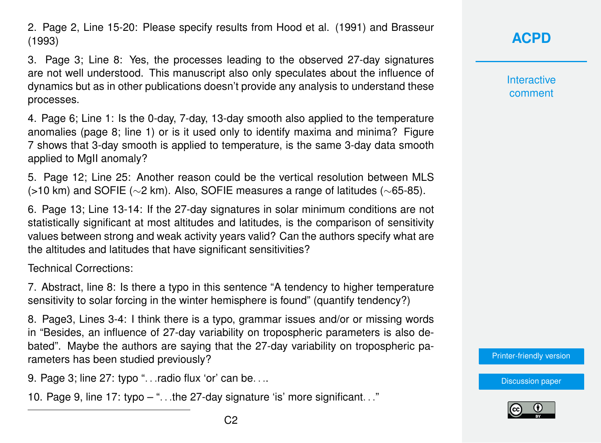2. Page 2, Line 15-20: Please specify results from Hood et al. (1991) and Brasseur (1993)

3. Page 3; Line 8: Yes, the processes leading to the observed 27-day signatures are not well understood. This manuscript also only speculates about the influence of dynamics but as in other publications doesn't provide any analysis to understand these processes.

4. Page 6; Line 1: Is the 0-day, 7-day, 13-day smooth also applied to the temperature anomalies (page 8; line 1) or is it used only to identify maxima and minima? Figure 7 shows that 3-day smooth is applied to temperature, is the same 3-day data smooth applied to MgII anomaly?

5. Page 12; Line 25: Another reason could be the vertical resolution between MLS (>10 km) and SOFIE (∼2 km). Also, SOFIE measures a range of latitudes (∼65-85).

6. Page 13; Line 13-14: If the 27-day signatures in solar minimum conditions are not statistically significant at most altitudes and latitudes, is the comparison of sensitivity values between strong and weak activity years valid? Can the authors specify what are the altitudes and latitudes that have significant sensitivities?

Technical Corrections:

7. Abstract, line 8: Is there a typo in this sentence "A tendency to higher temperature sensitivity to solar forcing in the winter hemisphere is found" (quantify tendency?)

8. Page3, Lines 3-4: I think there is a typo, grammar issues and/or or missing words in "Besides, an influence of 27-day variability on tropospheric parameters is also debated". Maybe the authors are saying that the 27-day variability on tropospheric parameters has been studied previously?

9. Page 3; line 27: typo "... radio flux 'or' can be....

10. Page 9, line 17: typo – ". . .the 27-day signature 'is' more significant. . ."

**Interactive** comment

[Printer-friendly version](https://www.atmos-chem-phys-discuss.net/acp-2019-765/acp-2019-765-RC1-print.pdf)

[Discussion paper](https://www.atmos-chem-phys-discuss.net/acp-2019-765)